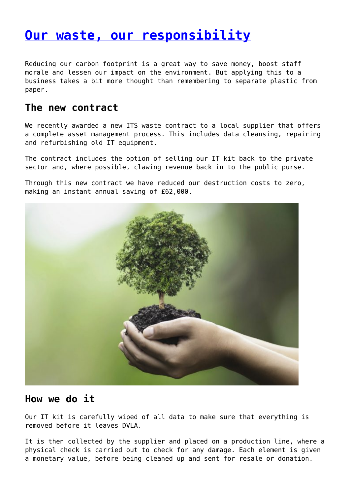# **[Our waste, our responsibility](http://www.government-world.com/our-waste-our-responsibility/)**

Reducing our carbon footprint is a great way to save money, boost staff morale and lessen our impact on the environment. But applying this to a business takes a bit more thought than remembering to separate plastic from paper.

#### **The new contract**

We recently awarded a new ITS waste contract to a local supplier that offers a complete asset management process. This includes data cleansing, repairing and refurbishing old IT equipment.

The contract includes the option of selling our IT kit back to the private sector and, where possible, clawing revenue back in to the public purse.

Through this new contract we have reduced our destruction costs to zero, making an instant annual saving of £62,000.



#### **How we do it**

Our IT kit is carefully wiped of all data to make sure that everything is removed before it leaves DVLA.

It is then collected by the supplier and placed on a production line, where a physical check is carried out to check for any damage. Each element is given a monetary value, before being cleaned up and sent for resale or donation.